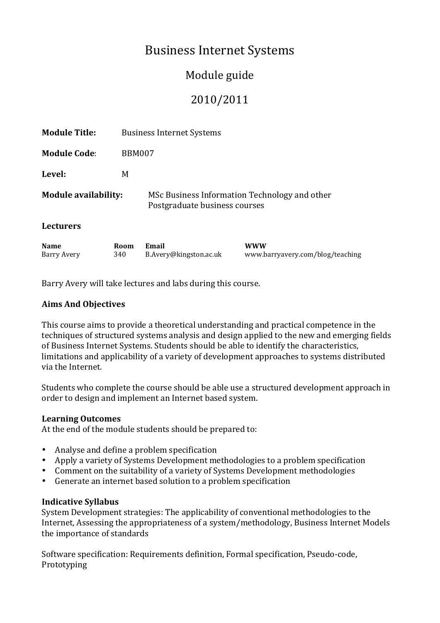# **Business Internet Systems**

## Module guide

## 2010/2011

| <b>Name</b>                 | Room | Email                                                                          |  | www |  |  |
|-----------------------------|------|--------------------------------------------------------------------------------|--|-----|--|--|
| <b>Lecturers</b>            |      |                                                                                |  |     |  |  |
| <b>Module availability:</b> |      | MSc Business Information Technology and other<br>Postgraduate business courses |  |     |  |  |
| Level:                      | M    |                                                                                |  |     |  |  |
| <b>Module Code:</b>         |      | <b>BBM007</b>                                                                  |  |     |  |  |
| <b>Module Title:</b>        |      | <b>Business Internet Systems</b>                                               |  |     |  |  |

Barry Avery 340 B.Avery@kingston.ac.uk www.barryavery.com/blog/teaching

Barry Avery will take lectures and labs during this course.

### **Aims'And'Objectives**

This course aims to provide a theoretical understanding and practical competence in the techniques' of structured systems' analysis' and design applied to the new and emerging fields of Business Internet Systems. Students should be able to identify the characteristics, limitations and applicability of a variety of development approaches to systems distributed via the Internet.

Students who complete the course should be able use a structured development approach in order to design and implement an Internet based system.

#### **Learning'Outcomes**

At the end of the module students should be prepared to:

- Analyse and define a problem specification
- Apply a variety of Systems Development methodologies to a problem specification
- Comment on the suitability of a variety of Systems Development methodologies
- Generate an internet based solution to a problem specification

#### **Indicative'Syllabus**

System Development strategies: The applicability of conventional methodologies to the Internet, Assessing the appropriateness of a system/methodology, Business Internet Models the importance of standards

Software specification: Requirements definition, Formal specification, Pseudo-code, Prototyping